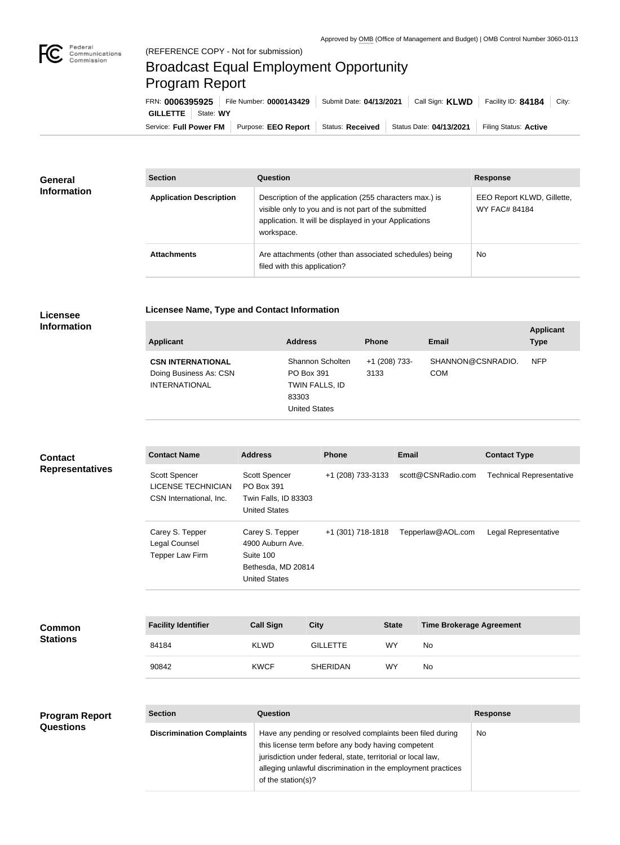

## Broadcast Equal Employment Opportunity Program Report

**Licensee Name, Type and Contact Information**

Service: Full Power FM Purpose: EEO Report | Status: Received | Status Date: 04/13/2021 | Filing Status: Active **GILLETTE** State: **WY** FRN: **0006395925** File Number: **0000143429** Submit Date: **04/13/2021** Call Sign: **KLWD** Facility ID: **84184** City:

| General<br><b>Information</b> | <b>Section</b>                 | Question                                                                                                                                                                                | <b>Response</b>                                    |
|-------------------------------|--------------------------------|-----------------------------------------------------------------------------------------------------------------------------------------------------------------------------------------|----------------------------------------------------|
|                               | <b>Application Description</b> | Description of the application (255 characters max.) is<br>visible only to you and is not part of the submitted<br>application. It will be displayed in your Applications<br>workspace. | EEO Report KLWD, Gillette,<br><b>WY FAC# 84184</b> |
|                               | <b>Attachments</b>             | Are attachments (other than associated schedules) being<br>filed with this application?                                                                                                 | <b>No</b>                                          |

## **Licensee Information**

| <b>Applicant</b>                                                           | <b>Address</b>                                                                    | <b>Phone</b>          | Email                           | <b>Applicant</b><br><b>Type</b> |
|----------------------------------------------------------------------------|-----------------------------------------------------------------------------------|-----------------------|---------------------------------|---------------------------------|
| <b>CSN INTERNATIONAL</b><br>Doing Business As: CSN<br><b>INTERNATIONAL</b> | Shannon Scholten<br>PO Box 391<br>TWIN FALLS, ID<br>83303<br><b>United States</b> | +1 (208) 733-<br>3133 | SHANNON@CSNRADIO.<br><b>COM</b> | <b>NFP</b>                      |

| <b>Contact</b><br><b>Representatives</b> | <b>Contact Name</b>                                                   | <b>Address</b>                                                                                 | <b>Phone</b>      | <b>Email</b>                                    | <b>Contact Type</b>             |
|------------------------------------------|-----------------------------------------------------------------------|------------------------------------------------------------------------------------------------|-------------------|-------------------------------------------------|---------------------------------|
|                                          | Scott Spencer<br><b>LICENSE TECHNICIAN</b><br>CSN International, Inc. | Scott Spencer<br>PO Box 391<br>Twin Falls, ID 83303<br><b>United States</b>                    | +1 (208) 733-3133 | scott@CSNRadio.com                              | <b>Technical Representative</b> |
|                                          | Carey S. Tepper<br>Legal Counsel<br>Tepper Law Firm                   | Carey S. Tepper<br>4900 Auburn Ave.<br>Suite 100<br>Bethesda, MD 20814<br><b>United States</b> | +1 (301) 718-1818 | Tepperlaw@AOL.com                               | Legal Representative            |
|                                          |                                                                       |                                                                                                |                   |                                                 |                                 |
| <b>Common</b>                            | <b>Facility Identifier</b>                                            | <b>Call Sign</b><br><b>City</b>                                                                |                   | <b>Time Brokerage Agreement</b><br><b>State</b> |                                 |

|                 | - - - - - - - - - - |  |  |  |
|-----------------|---------------------|--|--|--|
|                 |                     |  |  |  |
| <b>Stations</b> |                     |  |  |  |
|                 |                     |  |  |  |

| <b>Facility Identifier</b> | <b>Call Sign</b> | <b>City</b>     | <b>State</b> | <b>Time Brokerage Agreement</b> |
|----------------------------|------------------|-----------------|--------------|---------------------------------|
| 84184                      | <b>KLWD</b>      | <b>GILLETTE</b> | WY           | No                              |
| 90842                      | <b>KWCF</b>      | SHERIDAN        | <b>WY</b>    | No                              |

| <b>Program Report</b> | <b>Section</b>                   | Question                                                                                                                                                                                                                                                              | <b>Response</b> |
|-----------------------|----------------------------------|-----------------------------------------------------------------------------------------------------------------------------------------------------------------------------------------------------------------------------------------------------------------------|-----------------|
| <b>Questions</b>      | <b>Discrimination Complaints</b> | Have any pending or resolved complaints been filed during<br>this license term before any body having competent<br>jurisdiction under federal, state, territorial or local law,<br>alleging unlawful discrimination in the employment practices<br>of the station(s)? | No              |